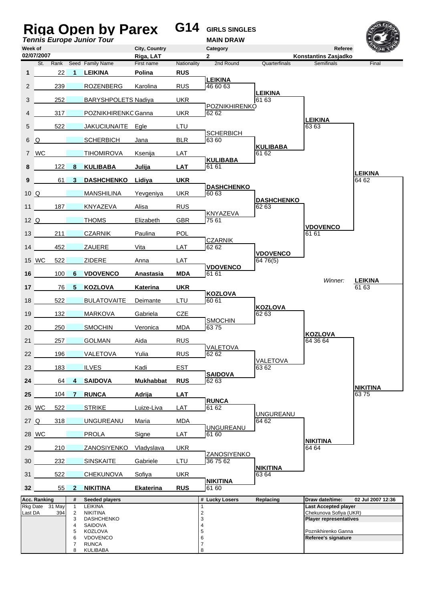|                 |                 |     |                   | <b>Riga Open by Parex</b><br><b>Tennis Europe Junior Tour</b> |                            | G14         | <b>GIRLS SINGLES</b><br><b>MAIN DRAW</b> |                             |                                                |                         |
|-----------------|-----------------|-----|-------------------|---------------------------------------------------------------|----------------------------|-------------|------------------------------------------|-----------------------------|------------------------------------------------|-------------------------|
| Week of         | 02/07/2007      |     |                   |                                                               | City, Country<br>Riga, LAT |             | Category<br>$\mathbf{2}$                 |                             | Referee<br>Konstantins Zasjadko                |                         |
|                 | St.             |     |                   | Rank Seed Family Name                                         | First name                 | Nationality | 2nd Round                                | Quarterfinals               | <b>Semifinals</b>                              | Final                   |
| 1               |                 | 22  | 1                 | <b>LEIKINA</b>                                                | Polina                     | <b>RUS</b>  | <b>LEIKINA</b>                           |                             |                                                |                         |
| 2               |                 | 239 |                   | <b>ROZENBERG</b>                                              | Karolina                   | <b>RUS</b>  | 46 60 63                                 |                             |                                                |                         |
| 3               |                 | 252 |                   | <b>BARYSHPOLETS Nadiya</b>                                    |                            | <b>UKR</b>  |                                          | <b>LEIKINA</b><br>61 63     |                                                |                         |
| 4               |                 | 317 |                   | POZNIKHIRENKC Ganna                                           |                            | <b>UKR</b>  | POZNIKHIRENKO<br>62 62                   |                             |                                                |                         |
| 5               |                 | 522 |                   | JAKUCIUNAITE Egle                                             |                            | LTU         |                                          |                             | <b>LEIKINA</b><br>63 63                        |                         |
| 6               | $\Omega$        |     |                   | <b>SCHERBICH</b>                                              | Jana                       | <b>BLR</b>  | <b>SCHERBICH</b><br>63 60                |                             |                                                |                         |
| $\mathbf{7}$    | <b>WC</b>       |     |                   | <b>TIHOMIROVA</b>                                             | Ksenija                    | LAT         |                                          | <b>KULIBABA</b><br>61 62    |                                                |                         |
| 8               |                 | 122 | 8                 | <b>KULIBABA</b>                                               | Julija                     | <b>LAT</b>  | <b>KULIBABA</b><br>61 61                 |                             |                                                |                         |
| 9               |                 | 61  | 3                 | <b>DASHCHENKO</b>                                             | Lidiya                     | <b>UKR</b>  |                                          |                             |                                                | <b>LEIKINA</b><br>64 62 |
| $10\Omega$      |                 |     |                   | <b>MANSHILINA</b>                                             | Yevgeniya                  | <b>UKR</b>  | <b>DASHCHENKO</b><br>60 63               |                             |                                                |                         |
| 11              |                 | 187 |                   | KNYAZEVA                                                      | Alisa                      | <b>RUS</b>  |                                          | <b>DASHCHENKO</b><br>62 63  |                                                |                         |
| $12\Omega$      |                 |     |                   | <b>THOMS</b>                                                  | Elizabeth                  | GBR         | KNYAZEVA<br>75 61                        |                             |                                                |                         |
| 13              |                 | 211 |                   | <b>CZARNIK</b>                                                | Paulina                    | POL         |                                          |                             | <b>VDOVENCO</b><br>61 61                       |                         |
| 14              |                 | 452 |                   | <b>ZAUERE</b>                                                 | Vita                       | LAT         | <b>CZARNIK</b><br>62 62                  |                             |                                                |                         |
|                 | 15 WC           | 522 |                   | <b>ZIDERE</b>                                                 | Anna                       | LAT         |                                          | <b>VDOVENCO</b><br>64 76(5) |                                                |                         |
| 16              |                 | 100 | 6                 | <b>VDOVENCO</b>                                               | Anastasia                  | <b>MDA</b>  | <b>VDOVENCO</b><br>61 61                 |                             |                                                |                         |
| 17              |                 | 76  | 5                 | <b>KOZLOVA</b>                                                | Katerina                   | <b>UKR</b>  |                                          |                             | Winner:                                        | <b>LEIKINA</b><br>61 63 |
| 18              |                 | 522 |                   | <b>BULATOVAITE</b>                                            | Deimante                   | LTU         | <b>KOZLOVA</b><br>60 61                  |                             |                                                |                         |
| 19              |                 | 132 |                   | <b>MARKOVA</b>                                                | Gabriela                   | <b>CZE</b>  |                                          | KOZLOVA<br>62 63            |                                                |                         |
| 20              |                 | 250 |                   | <b>SMOCHIN</b>                                                | Veronica                   | <b>MDA</b>  | <b>SMOCHIN</b><br>6375                   |                             |                                                |                         |
| 21              |                 | 257 |                   | <b>GOLMAN</b>                                                 | Aida                       | <b>RUS</b>  |                                          |                             | <b>KOZLOVA</b><br>64 36 64                     |                         |
| 22              |                 | 196 |                   | <b>VALETOVA</b>                                               | Yulia                      | <b>RUS</b>  | VALETOVA<br>62 62                        |                             |                                                |                         |
| 23              |                 | 183 |                   | <b>ILVES</b>                                                  | Kadi                       | <b>EST</b>  |                                          | VALETOVA<br>63 62           |                                                |                         |
| 24              |                 | 64  | $\overline{4}$    | <b>SAIDOVA</b>                                                | <b>Mukhabbat</b>           | <b>RUS</b>  | <b>SAIDOVA</b><br>62 63                  |                             |                                                |                         |
| 25 <sub>2</sub> |                 | 104 | 7                 | <b>RUNCA</b>                                                  | Adrija                     | LAT         |                                          |                             |                                                | <b>NIKITINA</b><br>6375 |
|                 | 26 WC           | 522 |                   | <b>STRIKE</b>                                                 | Luize-Liva                 | LAT         | <b>RUNCA</b><br>61 62                    |                             |                                                |                         |
| 27 Q            |                 | 318 |                   | <b>UNGUREANU</b>                                              | Maria                      | <b>MDA</b>  |                                          | <b>UNGUREANU</b><br>64 62   |                                                |                         |
|                 | 28 WC           |     |                   | PROLA                                                         | Signe                      | LAT         | <b>UNGUREANU</b><br>61 60                |                             |                                                |                         |
| 29              |                 | 210 |                   | ZANOSIYENKO                                                   | Vladyslava                 | <b>UKR</b>  |                                          |                             | <b>NIKITINA</b><br>6464                        |                         |
| 30              |                 | 232 |                   | <b>SINSKAITE</b>                                              | Gabriele                   | LTU         | ZANOSIYENKO<br>36 75 62                  |                             |                                                |                         |
| 31              |                 | 522 |                   | <b>CHEKUNOVA</b>                                              | Sofiya                     | <b>UKR</b>  |                                          | <b>NIKITINA</b><br>63 64    |                                                |                         |
| 32 <sub>2</sub> |                 | 55  | $\mathbf{2}$      | <b>NIKITINA</b>                                               | <b>Ekaterina</b>           | <b>RUS</b>  | <b>NIKITINA</b><br>61 60                 |                             |                                                |                         |
|                 | Acc. Ranking    |     | #                 | Seeded players                                                |                            |             | # Lucky Losers                           | Replacing                   | Draw date/time:                                | 02 Jul 2007 12:36       |
| Last DA         | Rkg Date 31 May | 394 | $\mathbf{1}$<br>2 | LEIKINA<br><b>NIKITINA</b>                                    |                            |             | 2                                        |                             | Last Accepted player<br>Chekunova Sofiya (UKR) |                         |
|                 |                 |     | 3<br>4            | <b>DASHCHENKO</b><br>SAIDOVA                                  |                            |             | 3<br>4                                   |                             | <b>Player representatives</b>                  |                         |
|                 |                 |     | 5<br>6            | <b>KOZLOVA</b><br><b>VDOVENCO</b>                             |                            |             | 5<br>6                                   |                             | Poznikhirenko Ganna<br>Referee's signature     |                         |
|                 |                 |     | 7<br>8            | <b>RUNCA</b><br>KULIBABA                                      |                            |             | 7<br>8                                   |                             |                                                |                         |
|                 |                 |     |                   |                                                               |                            |             |                                          |                             |                                                |                         |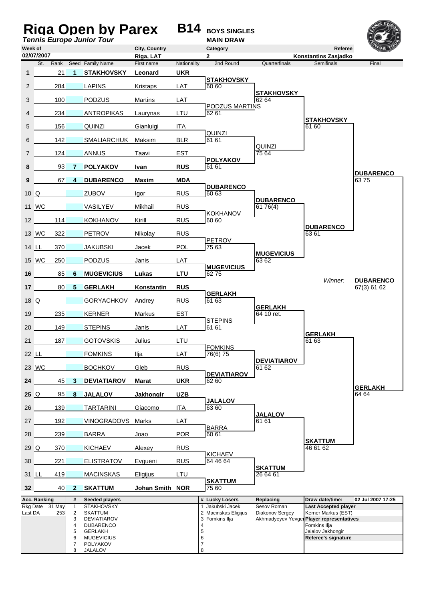|                  |                     |                        |                                 | <b>Tennis Europe Junior Tour</b>                                                                                                 |                            |             | Riga Open by Parex B14 BOYS SINGLES<br><b>MAIN DRAW</b>                                     |                                                      |                                                                                                                                                 |                                 |
|------------------|---------------------|------------------------|---------------------------------|----------------------------------------------------------------------------------------------------------------------------------|----------------------------|-------------|---------------------------------------------------------------------------------------------|------------------------------------------------------|-------------------------------------------------------------------------------------------------------------------------------------------------|---------------------------------|
| Week of          | 02/07/2007          |                        |                                 |                                                                                                                                  | City, Country<br>Riga, LAT |             | Category<br>2                                                                               |                                                      | Referee<br>Konstantins Zasjadko                                                                                                                 |                                 |
|                  | St.                 | Rank                   |                                 | Seed Family Name                                                                                                                 | First name                 | Nationality | 2nd Round                                                                                   | Quarterfinals                                        | <b>Semifinals</b>                                                                                                                               | Final                           |
| $\mathbf{1}$     |                     | 21                     | 1                               | <b>STAKHOVSKY</b>                                                                                                                | Leonard                    | <b>UKR</b>  |                                                                                             |                                                      |                                                                                                                                                 |                                 |
| 2                |                     | 284                    |                                 | <b>LAPINS</b>                                                                                                                    | Kristaps                   | LAT         | <b>STAKHOVSKY</b><br>60 60                                                                  |                                                      |                                                                                                                                                 |                                 |
| 3                |                     | 100                    |                                 | <b>PODZUS</b>                                                                                                                    | Martins                    | LAT         |                                                                                             | <b>STAKHOVSKY</b><br>62.64                           |                                                                                                                                                 |                                 |
| 4                |                     | 234                    |                                 | ANTROPIKAS                                                                                                                       | Laurynas                   | LTU         | PODZUS MARTINS<br>62 61                                                                     |                                                      |                                                                                                                                                 |                                 |
| 5                |                     | 156                    |                                 | <b>QUINZI</b>                                                                                                                    | Gianluigi                  | ITA         |                                                                                             |                                                      | <b>STAKHOVSKY</b><br>61 60                                                                                                                      |                                 |
| 6                |                     | 142                    |                                 | SMALIARCHUK                                                                                                                      | Maksim                     | <b>BLR</b>  | <b>QUINZI</b><br>61 61                                                                      |                                                      |                                                                                                                                                 |                                 |
| 7                |                     | 124                    |                                 | <b>ANNUS</b>                                                                                                                     | Taavi                      | <b>EST</b>  |                                                                                             | QUINZI<br>75 64                                      |                                                                                                                                                 |                                 |
| 8                |                     | 93                     | $\mathbf{7}$                    | <b>POLYAKOV</b>                                                                                                                  | Ivan                       | <b>RUS</b>  | <b>POLYAKOV</b><br>61 61                                                                    |                                                      |                                                                                                                                                 |                                 |
| 9                |                     | 67                     | $\mathbf{A}$                    | <b>DUBARENCO</b>                                                                                                                 | <b>Maxim</b>               | MDA         |                                                                                             |                                                      |                                                                                                                                                 | <b>DUBARENCO</b><br>6375        |
| $10\Omega$       |                     |                        |                                 | <b>ZUBOV</b>                                                                                                                     | lgor                       | RUS         | <b>DUBARENCO</b><br>60 63                                                                   |                                                      |                                                                                                                                                 |                                 |
|                  | 11 WC               |                        |                                 | VASILYEV                                                                                                                         | Mikhail                    | <b>RUS</b>  |                                                                                             | <b>DUBARENCO</b><br>61 76(4)                         |                                                                                                                                                 |                                 |
| 12 <sup>12</sup> |                     | 114                    |                                 | <b>KOKHANOV</b>                                                                                                                  | Kirill                     | <b>RUS</b>  | <b>KOKHANOV</b><br>60 60                                                                    |                                                      |                                                                                                                                                 |                                 |
|                  | 13 WC               | 322                    |                                 | <b>PETROV</b>                                                                                                                    | Nikolay                    | <b>RUS</b>  |                                                                                             |                                                      | <b>DUBARENCO</b><br>6361                                                                                                                        |                                 |
|                  | 14 LL               | 370                    |                                 | <b>JAKUBSKI</b>                                                                                                                  | Jacek                      | POL         | <b>PETROV</b><br>75 63                                                                      |                                                      |                                                                                                                                                 |                                 |
|                  | 15 WC               | 250                    |                                 | <b>PODZUS</b>                                                                                                                    | Janis                      | LAT         |                                                                                             | <b>MUGEVICIUS</b><br>63 62                           |                                                                                                                                                 |                                 |
|                  | 16                  | 85                     | 6                               | <b>MUGEVICIUS</b>                                                                                                                | Lukas                      | <b>LTU</b>  | <b>MUGEVICIUS</b><br>6275                                                                   |                                                      |                                                                                                                                                 |                                 |
| 17 <sup>1</sup>  |                     | $80 -$                 | 5 <sup>1</sup>                  | <b>GERLAKH</b>                                                                                                                   | Konstantin                 | <b>RUS</b>  |                                                                                             |                                                      | Winner:                                                                                                                                         | <b>DUBARENCO</b><br>67(3) 61 62 |
| 18 Q             |                     |                        |                                 | <b>GORYACHKOV</b>                                                                                                                | Andrey                     | <b>RUS</b>  | <b>GERLAKH</b><br>61 63                                                                     |                                                      |                                                                                                                                                 |                                 |
| 19               |                     | 235                    |                                 | <b>KERNER</b>                                                                                                                    | Markus                     | <b>EST</b>  |                                                                                             | <b>GERLAKH</b><br>64 10 ret.                         |                                                                                                                                                 |                                 |
| 20               |                     | 149                    |                                 | <b>STEPINS</b>                                                                                                                   | Janis                      | LAT         | <b>STEPINS</b><br>61 61                                                                     |                                                      |                                                                                                                                                 |                                 |
| 21               |                     | 187                    |                                 | <b>GOTOVSKIS</b>                                                                                                                 | Julius                     | LTU         |                                                                                             |                                                      | <b>GERLAKH</b><br>61 63                                                                                                                         |                                 |
| 22 LL            |                     |                        |                                 | <b>FOMKINS</b>                                                                                                                   | Ilja                       | LAT         | <b>FOMKINS</b><br>76(6) 75                                                                  |                                                      |                                                                                                                                                 |                                 |
|                  | 23 WC               |                        |                                 | <b>BOCHKOV</b>                                                                                                                   | Gleb                       | <b>RUS</b>  |                                                                                             | <b>DEVIATIAROV</b><br>61 62                          |                                                                                                                                                 |                                 |
| 24               |                     | 45                     | $\mathbf{3}$                    | <b>DEVIATIAROV</b>                                                                                                               | <b>Marat</b>               | <b>UKR</b>  | <b>DEVIATIAROV</b><br>62 60                                                                 |                                                      |                                                                                                                                                 |                                 |
| $25$ Q           |                     | 95                     | 8                               | <b>JALALOV</b>                                                                                                                   | <b>Jakhongir</b>           | <b>UZB</b>  |                                                                                             |                                                      |                                                                                                                                                 | <b>GERLAKH</b><br>64 64         |
| 26               |                     | 139                    |                                 | <b>TARTARINI</b>                                                                                                                 | <b>Giacomo</b>             | <b>ITA</b>  | <b>JALALOV</b><br>63 60                                                                     |                                                      |                                                                                                                                                 |                                 |
| 27               |                     | 192                    |                                 | VINOGRADOVS                                                                                                                      | Marks                      | LAT         |                                                                                             | <b>JALALOV</b><br>61 61                              |                                                                                                                                                 |                                 |
| 28               |                     | 239                    |                                 | <b>BARRA</b>                                                                                                                     | Joao                       | <b>POR</b>  | <b>BARRA</b><br>60 61                                                                       |                                                      |                                                                                                                                                 |                                 |
| $29$ $\Omega$    |                     | 370                    |                                 | <b>KICHAEV</b>                                                                                                                   | Alexey                     | <b>RUS</b>  |                                                                                             |                                                      | <b>SKATTUM</b><br>46 61 62                                                                                                                      |                                 |
| 30               |                     | 221                    |                                 | <b>ELISTRATOV</b>                                                                                                                | <b>Evgueni</b>             | <b>RUS</b>  | <b>KICHAEV</b><br>64 46 64                                                                  |                                                      |                                                                                                                                                 |                                 |
|                  | 31 LL               | 419                    |                                 | <b>MACINSKAS</b>                                                                                                                 | Eligijus                   | LTU         |                                                                                             | <b>SKATTUM</b><br>26 64 61                           |                                                                                                                                                 |                                 |
| 32 <sub>2</sub>  |                     | 40                     | $\mathbf{2}$                    | <b>SKATTUM</b>                                                                                                                   | Johan Smith NOR            |             | <b>SKATTUM</b><br>75 60                                                                     |                                                      |                                                                                                                                                 |                                 |
|                  | <b>Acc. Ranking</b> |                        | #                               | Seeded players                                                                                                                   |                            |             | # Lucky Losers                                                                              | Replacing                                            | Draw date/time:                                                                                                                                 | 02 Jul 2007 17:25               |
| Last DA          |                     | Rkg Date 31 May<br>253 | 1<br>2<br>3<br>4<br>5<br>6<br>7 | <b>STAKHOVSKY</b><br><b>SKATTUM</b><br><b>DEVIATIAROV</b><br><b>DUBARENCO</b><br><b>GERLAKH</b><br><b>MUGEVICIUS</b><br>POLYAKOV |                            |             | 1 Jakubski Jacek<br>2 Macinskas Eligijus<br>3 Fomkins Ilja<br>4<br>5<br>6<br>$\overline{7}$ | Sesov Roman<br>Diakonov Sergey<br>Akhmadyeyev Yevger | <b>Last Accepted player</b><br>Kerner Markus (EST)<br><b>Player representatives</b><br>Fomkins Ilja<br>Jalalov Jakhongir<br>Referee's signature |                                 |
|                  |                     |                        | 8                               | JALALOV                                                                                                                          |                            |             | 8                                                                                           |                                                      |                                                                                                                                                 |                                 |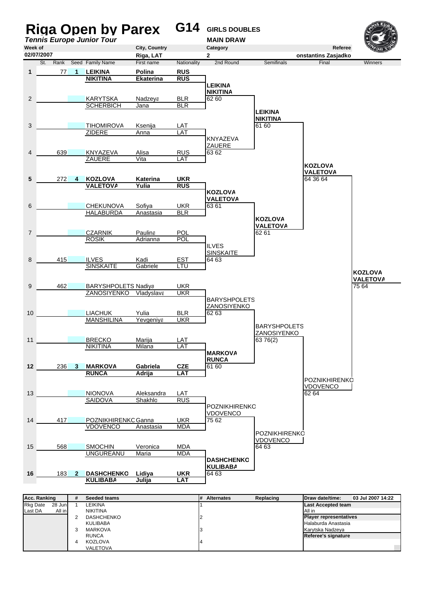

| Rkg Date | 28 Juni | LEIKINA           | ILast Accepted team           |
|----------|---------|-------------------|-------------------------------|
| Last DA  | All in  | <b>NIKITINA</b>   | All in                        |
|          |         | <b>DASHCHENKO</b> | <b>Player representatives</b> |
|          |         | <b>KULIBABA</b>   | Halaburda Anastasia           |
|          |         | <b>MARKOVA</b>    | Karvtska Nadzeva              |
|          |         | <b>RUNCA</b>      | Referee's signature           |
|          |         | KOZLOVA           |                               |
|          |         | VALETOVA          |                               |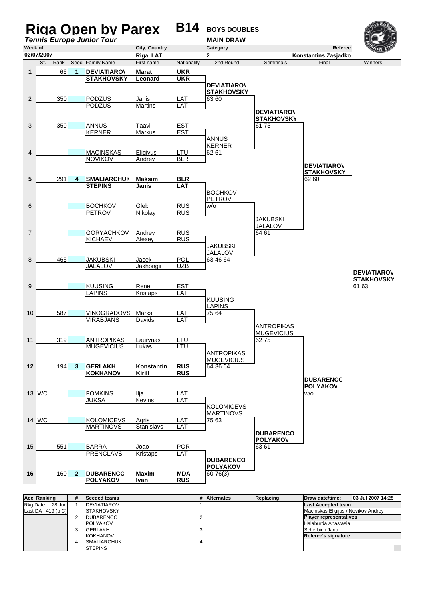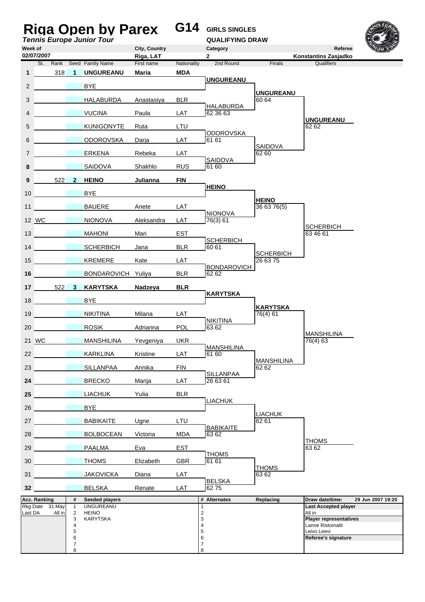|                 |                     |                 |                          | Riga Open by Parex<br><b>Tennis Europe Junior Tour</b> |                            | G14         | <b>GIRLS SINGLES</b><br><b>QUALIFYING DRAW</b> |                              |                                                |                   |
|-----------------|---------------------|-----------------|--------------------------|--------------------------------------------------------|----------------------------|-------------|------------------------------------------------|------------------------------|------------------------------------------------|-------------------|
| Week of         | 02/07/2007          |                 |                          |                                                        | City, Country<br>Riga, LAT |             | Category<br>$\mathbf{2}$                       |                              | Referee<br>Konstantins Zasjadko                |                   |
|                 |                     |                 |                          | St. Rank Seed Family Name                              | First name                 | Nationality | 2nd Round                                      | Finals                       | Qualifiers                                     |                   |
| $\mathbf{1}$    |                     | 318             | $\blacktriangleleft$     | <b>UNGUREANU</b>                                       | <b>Maria</b>               | <b>MDA</b>  | <b>UNGUREANU</b>                               |                              |                                                |                   |
| $\overline{2}$  |                     |                 |                          | BYE.                                                   |                            |             |                                                | <b>UNGUREANU</b>             |                                                |                   |
| 3               |                     |                 |                          | HALABURDA                                              | Anastasiya                 | <b>BLR</b>  | <b>HALABURDA</b>                               | 60 64                        |                                                |                   |
| $\overline{4}$  |                     |                 |                          | <b>VUCINA</b>                                          | Paula                      | LAT         | 62 36 63                                       |                              | <b>UNGUREANU</b>                               |                   |
| 5               |                     |                 |                          | <b>KUNIGONYTE</b>                                      | Ruta                       | LTU         | <b>ODOROVSKA</b>                               |                              | 62 62                                          |                   |
| 6               |                     |                 |                          | <b>ODOROVSKA</b>                                       | Darja                      | LAT         | 61 61                                          | <b>SAIDOVA</b>               |                                                |                   |
| $\overline{7}$  |                     |                 |                          | ERKENA                                                 | Rebeka                     | LAT         | SAIDOVA                                        | 62 60                        |                                                |                   |
| 8               |                     |                 |                          | <b>SAIDOVA</b>                                         | Shakhlo                    | <b>RUS</b>  | 61 60                                          |                              |                                                |                   |
| 9               |                     | 522             | 2 <sup>1</sup>           | <b>HEINO</b>                                           | Julianna                   | <b>FIN</b>  |                                                |                              |                                                |                   |
| 10              |                     |                 |                          | <b>BYE</b>                                             |                            |             | <b>HEINO</b>                                   |                              |                                                |                   |
| 11              |                     |                 |                          | <b>BAUERE</b>                                          | Anete                      | LAT         |                                                | <b>HEINO</b><br>36 63 76(5)  |                                                |                   |
|                 | 12 WC               |                 |                          | <b>NIONOVA</b>                                         | Aleksandra                 | LAT         | <b>NIONOVA</b><br>76(3) 61                     |                              |                                                |                   |
|                 | 13                  |                 |                          | <b>MAHONI</b>                                          | Mari                       | <b>EST</b>  |                                                |                              | <b>SCHERBICH</b><br>63 46 61                   |                   |
|                 |                     | 14              |                          | <b>SCHERBICH</b>                                       | Jana                       | <b>BLR</b>  | <b>SCHERBICH</b><br>60 61                      |                              |                                                |                   |
|                 |                     | 15              |                          | <b>KREMERE</b>                                         | Kate                       | LAT         |                                                | <b>SCHERBICH</b><br>26 63 75 |                                                |                   |
| 16              |                     |                 |                          | <b>BONDAROVICH Yuliya</b>                              |                            | <b>BLR</b>  | <b>BONDAROVICH</b><br>62 62                    |                              |                                                |                   |
| 17 <sup>1</sup> |                     |                 | 522 3                    | <b>KARYTSKA</b>                                        | Nadzeya                    | <b>BLR</b>  |                                                |                              |                                                |                   |
| 18              |                     |                 |                          | <b>BYE</b>                                             |                            |             | <b>KARYTSKA</b>                                |                              |                                                |                   |
| 19              |                     |                 |                          | <b>NIKITINA</b>                                        | Milana                     | LAT         |                                                | <b>KARYTSKA</b><br>76(4) 61  |                                                |                   |
| 20              |                     |                 |                          | <b>ROSIK</b>                                           | Adrianna                   | <b>POL</b>  | <b>NIKITINA</b><br>63 62                       |                              |                                                |                   |
|                 | 21 WC               |                 |                          | <b>MANSHILINA</b>                                      | Yevgeniya                  | <b>UKR</b>  |                                                |                              | <b>MANSHILINA</b><br>76(4) 63                  |                   |
| 22              |                     |                 |                          | <b>KARKLINA</b>                                        | Kristine                   | LAT         | <b>MANSHILINA</b><br>61 60                     |                              |                                                |                   |
| 23              |                     |                 |                          | SILLANPAA                                              | Annika                     | <b>FIN</b>  |                                                | MANSHILINA<br>6262           |                                                |                   |
| 24              |                     |                 |                          | <b>BRECKO</b>                                          | Marija                     | LAT         | SILLANPAA<br>26 63 61                          |                              |                                                |                   |
| 25              |                     |                 |                          | <b>LIACHUK</b>                                         | Yulia                      | <b>BLR</b>  |                                                |                              |                                                |                   |
|                 |                     |                 |                          |                                                        |                            |             | <b>LIACHUK</b>                                 |                              |                                                |                   |
| 26              |                     |                 |                          | <b>BYE</b>                                             |                            |             |                                                | <b>LIACHUK</b>               |                                                |                   |
| 27              |                     |                 |                          | <b>BABIKAITE</b>                                       | Ugne                       | LTU         | <b>BABIKAITE</b>                               | 62 61                        |                                                |                   |
| 28              |                     |                 |                          | <b>BOLBOCEAN</b>                                       | Victoria                   | <b>MDA</b>  | 63 62                                          |                              | <b>THOMS</b>                                   |                   |
| 29              |                     |                 |                          | <b>PAALMA</b>                                          | Eva                        | EST         | <b>THOMS</b>                                   |                              | 63 62                                          |                   |
| 30              |                     |                 |                          | <b>THOMS</b>                                           | Elizabeth                  | <b>GBR</b>  | 61 61                                          | <b>THOMS</b>                 |                                                |                   |
| 31              |                     |                 |                          | <b>JAKOVICKA</b>                                       | Diana                      | LAT         | <b>BELSKA</b>                                  | 63 62                        |                                                |                   |
| 32 <sub>2</sub> |                     |                 |                          | <b>BELSKA</b>                                          | Renate                     | LAT         | 6275                                           |                              |                                                |                   |
|                 | <b>Acc. Ranking</b> | Rkg Date 31 May | #<br>$\mathbf{1}$        | Seeded players<br><b>UNGUREANU</b>                     |                            |             | # Alternates<br>1                              | Replacing                    | Draw date/time:<br><b>Last Accepted player</b> | 29 Jun 2007 19:20 |
| Last DA         |                     | All in          | $\overline{2}$<br>3      | <b>HEINO</b><br><b>KARYTSKA</b>                        |                            |             | $\overline{c}$<br>3                            |                              | All in<br><b>Player representatives</b>        |                   |
|                 |                     |                 | 4<br>5                   |                                                        |                            |             | 4<br>5                                         |                              | Lanne Ristomatti<br>Leivo Leevi                |                   |
|                 |                     |                 | 6<br>$\overline{7}$<br>8 |                                                        |                            |             | 6<br>7<br>8                                    |                              | Referee's signature                            |                   |